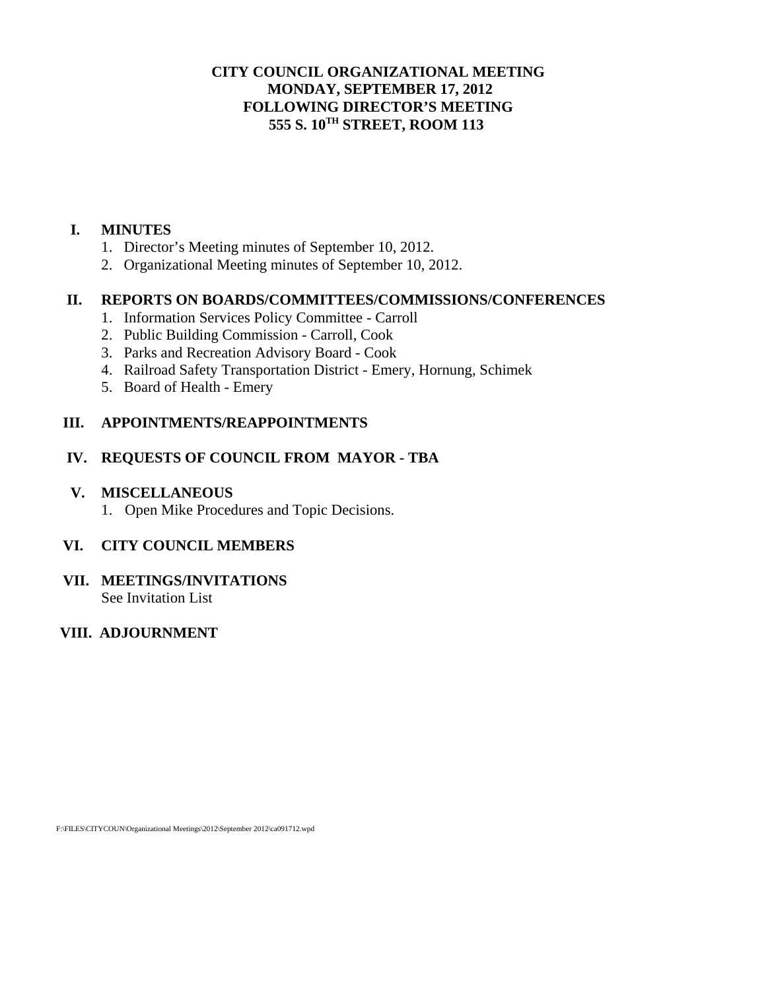### **CITY COUNCIL ORGANIZATIONAL MEETING MONDAY, SEPTEMBER 17, 2012 FOLLOWING DIRECTOR'S MEETING 555 S. 10TH STREET, ROOM 113**

#### **I. MINUTES**

- 1. Director's Meeting minutes of September 10, 2012.
- 2. Organizational Meeting minutes of September 10, 2012.

### **II. REPORTS ON BOARDS/COMMITTEES/COMMISSIONS/CONFERENCES**

- 1. Information Services Policy Committee Carroll
- 2. Public Building Commission Carroll, Cook
- 3. Parks and Recreation Advisory Board Cook
- 4. Railroad Safety Transportation District Emery, Hornung, Schimek
- 5. Board of Health Emery

### **III. APPOINTMENTS/REAPPOINTMENTS**

### **IV. REQUESTS OF COUNCIL FROM MAYOR - TBA**

#### **V. MISCELLANEOUS**

1. Open Mike Procedures and Topic Decisions.

## **VI. CITY COUNCIL MEMBERS**

**VII. MEETINGS/INVITATIONS**  See Invitation List

# **VIII. ADJOURNMENT**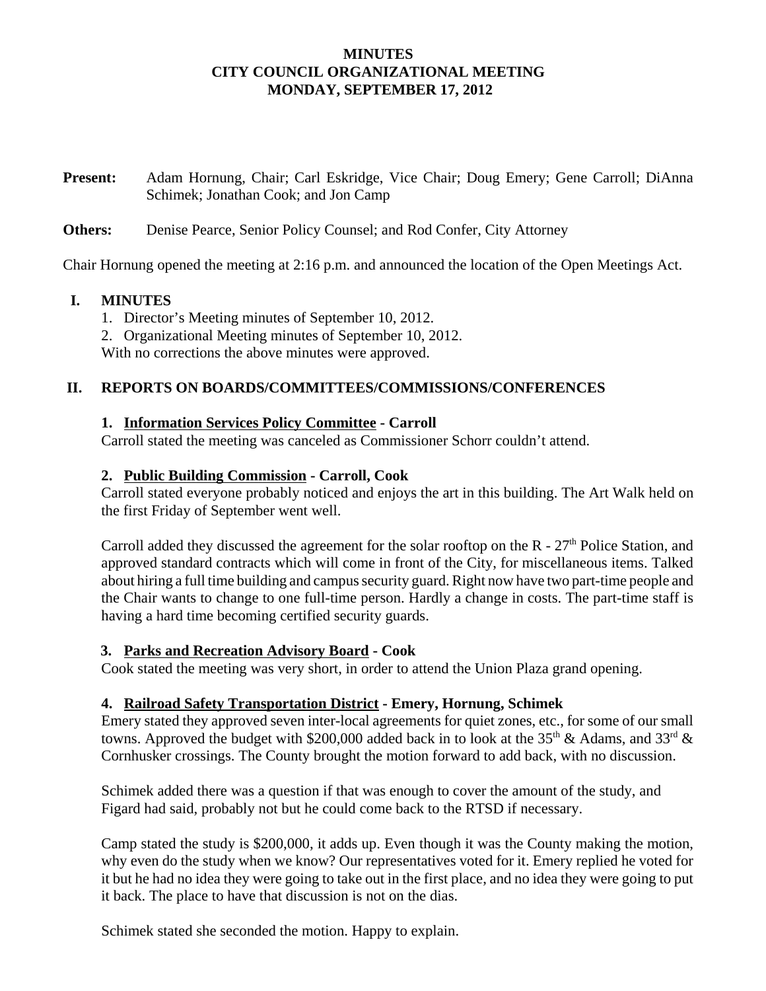### **MINUTES CITY COUNCIL ORGANIZATIONAL MEETING MONDAY, SEPTEMBER 17, 2012**

**Present:** Adam Hornung, Chair; Carl Eskridge, Vice Chair; Doug Emery; Gene Carroll; DiAnna Schimek; Jonathan Cook; and Jon Camp

#### **Others:** Denise Pearce, Senior Policy Counsel; and Rod Confer, City Attorney

Chair Hornung opened the meeting at 2:16 p.m. and announced the location of the Open Meetings Act.

#### **I. MINUTES**

- 1. Director's Meeting minutes of September 10, 2012.
- 2. Organizational Meeting minutes of September 10, 2012.

With no corrections the above minutes were approved.

### **II. REPORTS ON BOARDS/COMMITTEES/COMMISSIONS/CONFERENCES**

### **1. Information Services Policy Committee - Carroll**

Carroll stated the meeting was canceled as Commissioner Schorr couldn't attend.

### **2. Public Building Commission - Carroll, Cook**

Carroll stated everyone probably noticed and enjoys the art in this building. The Art Walk held on the first Friday of September went well.

Carroll added they discussed the agreement for the solar rooftop on the  $R - 27<sup>th</sup>$  Police Station, and approved standard contracts which will come in front of the City, for miscellaneous items. Talked about hiring a full time building and campus security guard. Right now have two part-time people and the Chair wants to change to one full-time person. Hardly a change in costs. The part-time staff is having a hard time becoming certified security guards.

## **3. Parks and Recreation Advisory Board - Cook**

Cook stated the meeting was very short, in order to attend the Union Plaza grand opening.

#### **4. Railroad Safety Transportation District - Emery, Hornung, Schimek**

Emery stated they approved seven inter-local agreements for quiet zones, etc., for some of our small towns. Approved the budget with \$200,000 added back in to look at the 35<sup>th</sup> & Adams, and 33<sup>rd</sup> & Cornhusker crossings. The County brought the motion forward to add back, with no discussion.

Schimek added there was a question if that was enough to cover the amount of the study, and Figard had said, probably not but he could come back to the RTSD if necessary.

Camp stated the study is \$200,000, it adds up. Even though it was the County making the motion, why even do the study when we know? Our representatives voted for it. Emery replied he voted for it but he had no idea they were going to take out in the first place, and no idea they were going to put it back. The place to have that discussion is not on the dias.

Schimek stated she seconded the motion. Happy to explain.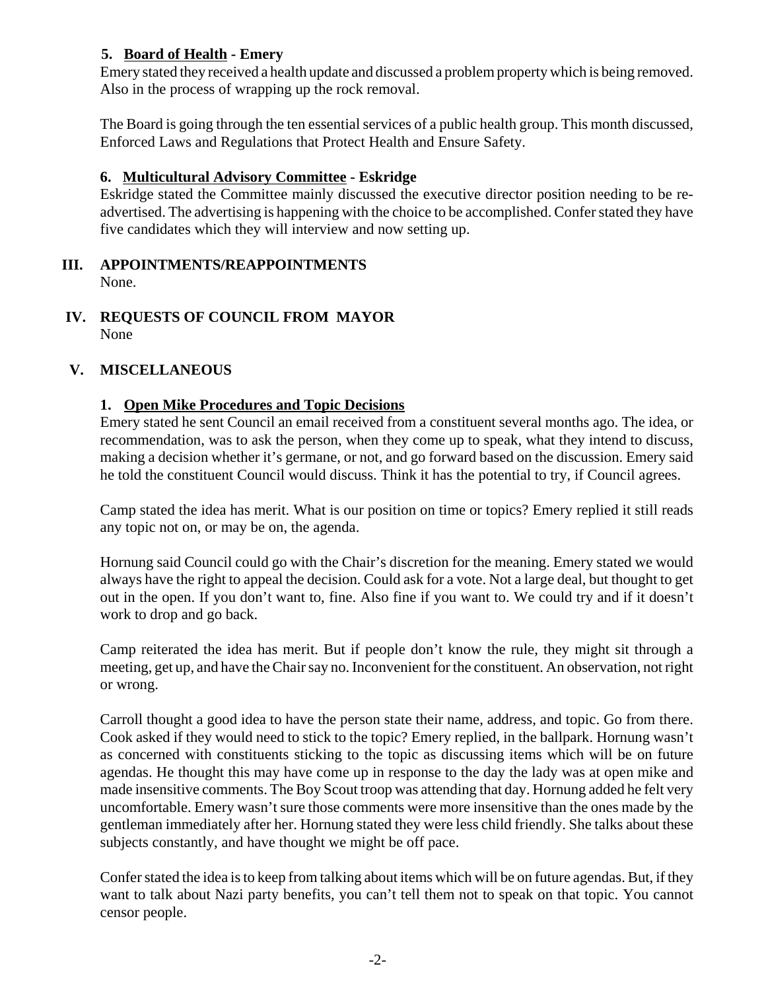## **5. Board of Health - Emery**

Emery stated they received a health update and discussed a problem property which is being removed. Also in the process of wrapping up the rock removal.

The Board is going through the ten essential services of a public health group. This month discussed, Enforced Laws and Regulations that Protect Health and Ensure Safety.

## **6. Multicultural Advisory Committee - Eskridge**

Eskridge stated the Committee mainly discussed the executive director position needing to be readvertised. The advertising is happening with the choice to be accomplished. Confer stated they have five candidates which they will interview and now setting up.

- **III. APPOINTMENTS/REAPPOINTMENTS** None.
- **IV. REQUESTS OF COUNCIL FROM MAYOR** None

### **V. MISCELLANEOUS**

### **1. Open Mike Procedures and Topic Decisions**

Emery stated he sent Council an email received from a constituent several months ago. The idea, or recommendation, was to ask the person, when they come up to speak, what they intend to discuss, making a decision whether it's germane, or not, and go forward based on the discussion. Emery said he told the constituent Council would discuss. Think it has the potential to try, if Council agrees.

Camp stated the idea has merit. What is our position on time or topics? Emery replied it still reads any topic not on, or may be on, the agenda.

Hornung said Council could go with the Chair's discretion for the meaning. Emery stated we would always have the right to appeal the decision. Could ask for a vote. Not a large deal, but thought to get out in the open. If you don't want to, fine. Also fine if you want to. We could try and if it doesn't work to drop and go back.

Camp reiterated the idea has merit. But if people don't know the rule, they might sit through a meeting, get up, and have the Chair say no. Inconvenient for the constituent. An observation, not right or wrong.

Carroll thought a good idea to have the person state their name, address, and topic. Go from there. Cook asked if they would need to stick to the topic? Emery replied, in the ballpark. Hornung wasn't as concerned with constituents sticking to the topic as discussing items which will be on future agendas. He thought this may have come up in response to the day the lady was at open mike and made insensitive comments. The Boy Scout troop was attending that day. Hornung added he felt very uncomfortable. Emery wasn't sure those comments were more insensitive than the ones made by the gentleman immediately after her. Hornung stated they were less child friendly. She talks about these subjects constantly, and have thought we might be off pace.

Confer stated the idea is to keep from talking about items which will be on future agendas. But, if they want to talk about Nazi party benefits, you can't tell them not to speak on that topic. You cannot censor people.